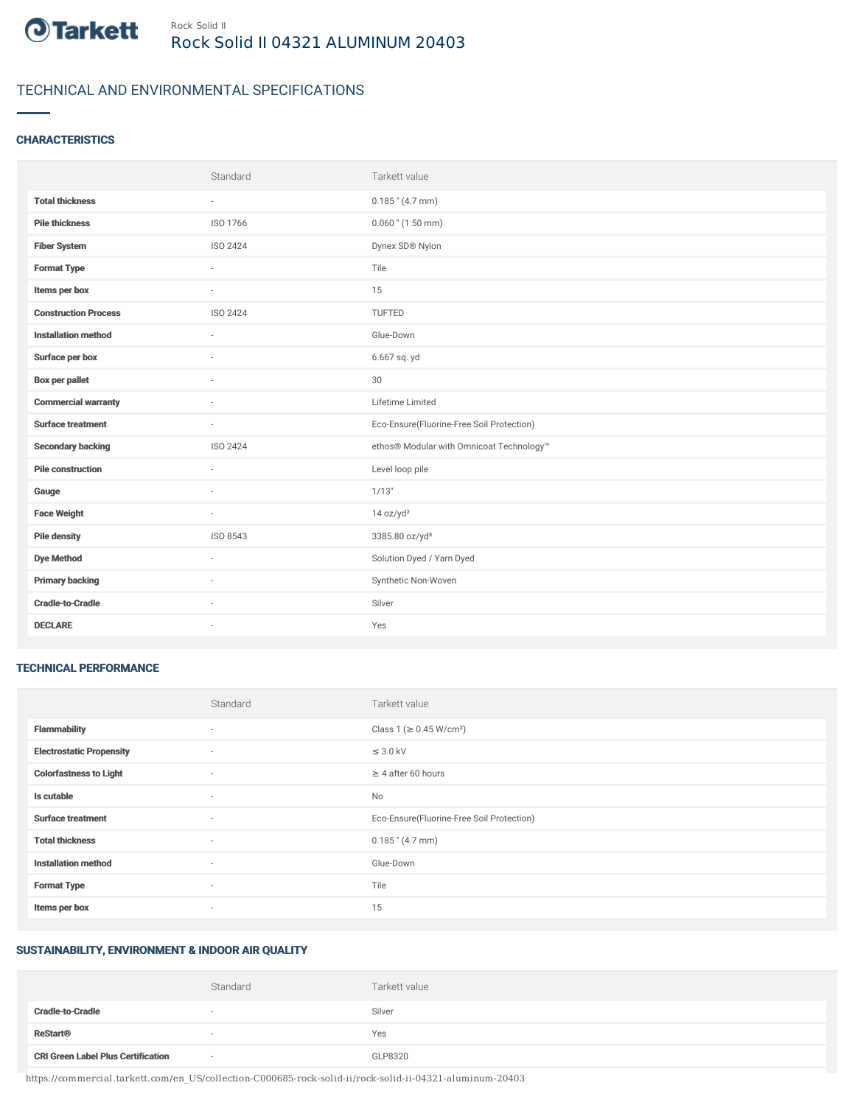

# TECHNICAL AND ENVIRONMENTAL SPECIFICATIONS

### **CHARACTERISTICS**

|                             | Standard                 | Tarkett value                             |
|-----------------------------|--------------------------|-------------------------------------------|
| <b>Total thickness</b>      | $\sim$                   | $0.185$ " (4.7 mm)                        |
| <b>Pile thickness</b>       | ISO 1766                 | $0.060$ " (1.50 mm)                       |
| <b>Fiber System</b>         | ISO 2424                 | Dynex SD® Nylon                           |
| <b>Format Type</b>          | $\sim$                   | Tile                                      |
| Items per box               | $\sim$                   | 15                                        |
| <b>Construction Process</b> | ISO 2424                 | TUFTED                                    |
| <b>Installation method</b>  | $\sim$                   | Glue-Down                                 |
| Surface per box             | $\overline{\phantom{a}}$ | 6.667 sq. yd                              |
| Box per pallet              |                          | $30\,$                                    |
| <b>Commercial warranty</b>  |                          | Lifetime Limited                          |
| <b>Surface treatment</b>    | $\sim$                   | Eco-Ensure(Fluorine-Free Soil Protection) |
| <b>Secondary backing</b>    | ISO 2424                 | ethos® Modular with Omnicoat Technology™  |
| <b>Pile construction</b>    | $\sim$                   | Level loop pile                           |
| Gauge                       |                          | 1/13"                                     |
| <b>Face Weight</b>          | $\sim$                   | 14 oz/yd <sup>2</sup>                     |
| <b>Pile density</b>         | ISO 8543                 | 3385.80 oz/yd <sup>3</sup>                |
| <b>Dye Method</b>           | $\sim$                   | Solution Dyed / Yarn Dyed                 |
| <b>Primary backing</b>      |                          | Synthetic Non-Woven                       |
| <b>Cradle-to-Cradle</b>     | $\sim$                   | Silver                                    |
| <b>DECLARE</b>              | ٠                        | Yes                                       |

#### TECHNICAL PERFORMANCE

|                                 | Standard | Tarkett value                             |
|---------------------------------|----------|-------------------------------------------|
| <b>Flammability</b>             | $\sim$   | Class 1 (≥ 0.45 W/cm <sup>2</sup> )       |
| <b>Electrostatic Propensity</b> | $\sim$   | $\leq$ 3.0 kV                             |
| <b>Colorfastness to Light</b>   | $\sim$   | $\geq 4$ after 60 hours                   |
| Is cutable                      | $\sim$   | <b>No</b>                                 |
| <b>Surface treatment</b>        | $\sim$   | Eco-Ensure(Fluorine-Free Soil Protection) |
| <b>Total thickness</b>          | $\sim$   | $0.185$ " (4.7 mm)                        |
| <b>Installation method</b>      | $\sim$   | Glue-Down                                 |
| <b>Format Type</b>              | $\sim$   | Tile                                      |
| Items per box                   | $\sim$   | 15                                        |

## SUSTAINABILITY, ENVIRONMENT & INDOOR AIR QUALITY

|                                           | Standard | Tarkett value |
|-------------------------------------------|----------|---------------|
| <b>Cradle-to-Cradle</b>                   |          | Silver        |
| <b>ReStart<sup>®</sup></b>                |          | Yes           |
| <b>CRI Green Label Plus Certification</b> | $\sim$   | GLP8320       |

https://commercial.tarkett.com/en\_US/collection-C000685-rock-solid-ii/rock-solid-ii-04321-aluminum-20403